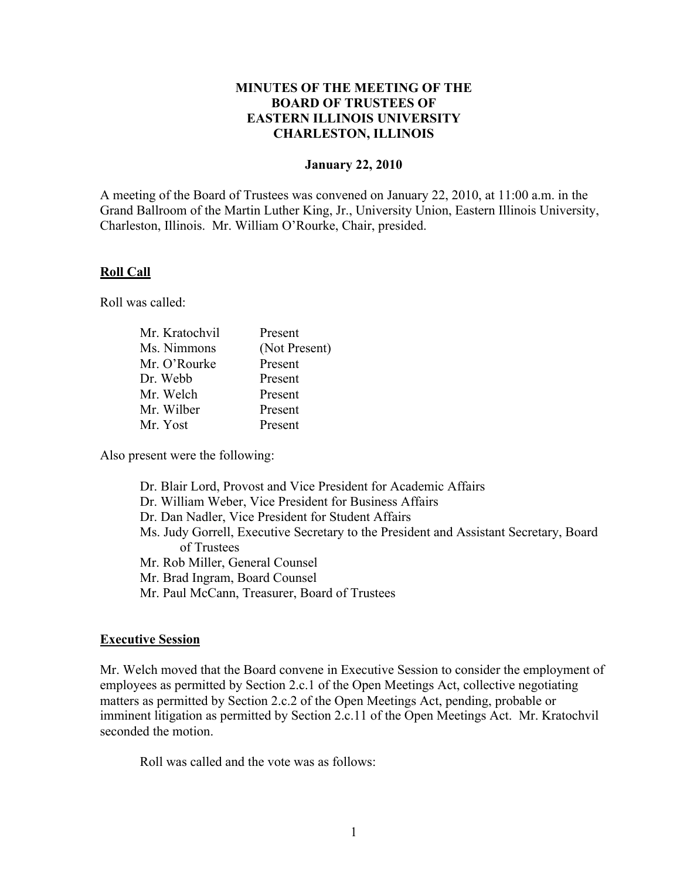## **MINUTES OF THE MEETING OF THE BOARD OF TRUSTEES OF EASTERN ILLINOIS UNIVERSITY CHARLESTON, ILLINOIS**

#### **January 22, 2010**

A meeting of the Board of Trustees was convened on January 22, 2010, at 11:00 a.m. in the Grand Ballroom of the Martin Luther King, Jr., University Union, Eastern Illinois University, Charleston, Illinois. Mr. William O'Rourke, Chair, presided.

#### **Roll Call**

Roll was called:

| Mr. Kratochvil | Present       |
|----------------|---------------|
| Ms. Nimmons    | (Not Present) |
| Mr. O'Rourke   | Present       |
| Dr. Webb       | Present       |
| Mr. Welch      | Present       |
| Mr. Wilber     | Present       |
| Mr. Yost       | Present       |
|                |               |

Also present were the following:

- Dr. Blair Lord, Provost and Vice President for Academic Affairs
- Dr. William Weber, Vice President for Business Affairs
- Dr. Dan Nadler, Vice President for Student Affairs
- Ms. Judy Gorrell, Executive Secretary to the President and Assistant Secretary, Board of Trustees
- Mr. Rob Miller, General Counsel
- Mr. Brad Ingram, Board Counsel
- Mr. Paul McCann, Treasurer, Board of Trustees

#### **Executive Session**

Mr. Welch moved that the Board convene in Executive Session to consider the employment of employees as permitted by Section 2.c.1 of the Open Meetings Act, collective negotiating matters as permitted by Section 2.c.2 of the Open Meetings Act, pending, probable or imminent litigation as permitted by Section 2.c.11 of the Open Meetings Act. Mr. Kratochvil seconded the motion.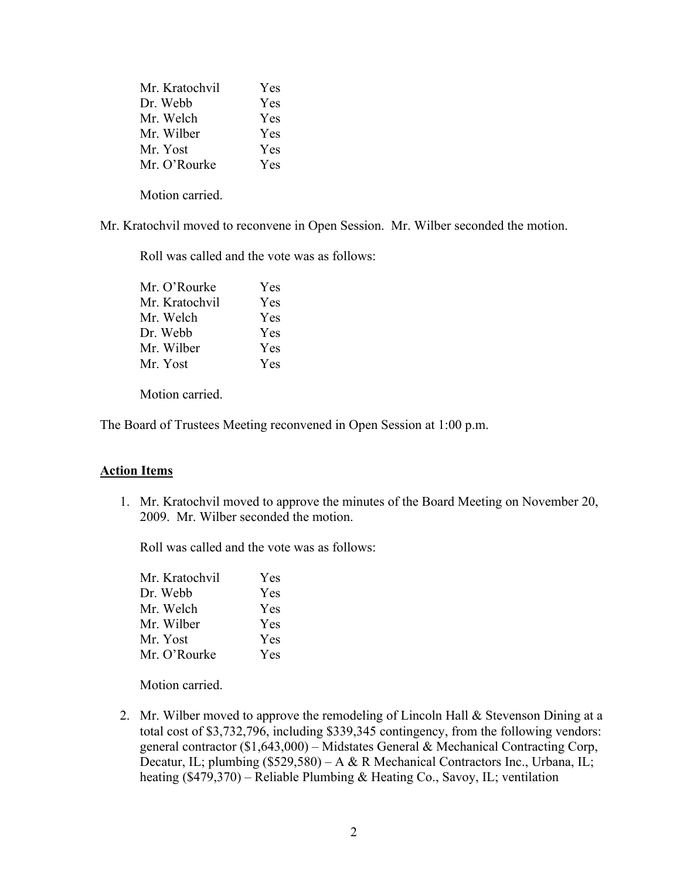| Mr. Kratochvil | Yes        |
|----------------|------------|
| Dr. Webb       | <b>Yes</b> |
| Mr. Welch      | <b>Yes</b> |
| Mr. Wilber     | Yes        |
| Mr. Yost       | Yes        |
| Mr. O'Rourke   | <b>Yes</b> |
|                |            |

Mr. Kratochvil moved to reconvene in Open Session. Mr. Wilber seconded the motion.

Roll was called and the vote was as follows:

| Mr. O'Rourke   | Yes |
|----------------|-----|
| Mr. Kratochvil | Yes |
| Mr. Welch      | Yes |
| Dr. Webb       | Yes |
| Mr. Wilber     | Yes |
| Mr. Yost       | Yes |

Motion carried.

The Board of Trustees Meeting reconvened in Open Session at 1:00 p.m.

## **Action Items**

1. Mr. Kratochvil moved to approve the minutes of the Board Meeting on November 20, 2009. Mr. Wilber seconded the motion.

Roll was called and the vote was as follows:

| Yes        |
|------------|
| Yes        |
| Yes        |
| <b>Yes</b> |
| Yes        |
| Yes        |
|            |

Motion carried.

2. Mr. Wilber moved to approve the remodeling of Lincoln Hall & Stevenson Dining at a total cost of \$3,732,796, including \$339,345 contingency, from the following vendors: general contractor (\$1,643,000) – Midstates General & Mechanical Contracting Corp, Decatur, IL; plumbing (\$529,580) – A & R Mechanical Contractors Inc., Urbana, IL; heating (\$479,370) – Reliable Plumbing & Heating Co., Savoy, IL; ventilation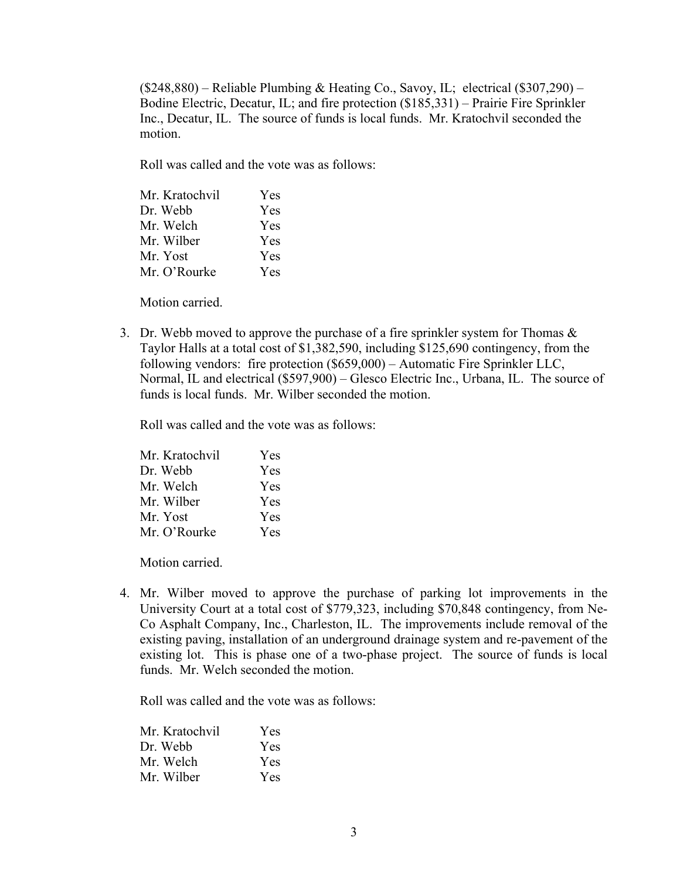(\$248,880) – Reliable Plumbing & Heating Co., Savoy, IL; electrical (\$307,290) – Bodine Electric, Decatur, IL; and fire protection (\$185,331) – Prairie Fire Sprinkler Inc., Decatur, IL. The source of funds is local funds. Mr. Kratochvil seconded the motion.

Roll was called and the vote was as follows:

| Mr. Kratochvil | Yes |
|----------------|-----|
| Dr. Webb       | Yes |
| Mr. Welch      | Yes |
| Mr. Wilber     | Yes |
| Mr. Yost       | Yes |
| Mr. O'Rourke   | Yes |

Motion carried.

3. Dr. Webb moved to approve the purchase of a fire sprinkler system for Thomas  $\&$ Taylor Halls at a total cost of \$1,382,590, including \$125,690 contingency, from the following vendors: fire protection (\$659,000) – Automatic Fire Sprinkler LLC, Normal, IL and electrical (\$597,900) – Glesco Electric Inc., Urbana, IL. The source of funds is local funds. Mr. Wilber seconded the motion.

Roll was called and the vote was as follows:

| Mr. Kratochvil | Yes |
|----------------|-----|
| Dr. Webb       | Yes |
| Mr. Welch      | Yes |
| Mr. Wilber     | Yes |
| Mr. Yost       | Yes |
| Mr. O'Rourke   | Yes |

Motion carried.

4. Mr. Wilber moved to approve the purchase of parking lot improvements in the University Court at a total cost of \$779,323, including \$70,848 contingency, from Ne-Co Asphalt Company, Inc., Charleston, IL. The improvements include removal of the existing paving, installation of an underground drainage system and re-pavement of the existing lot. This is phase one of a two-phase project. The source of funds is local funds. Mr. Welch seconded the motion.

| Mr. Kratochvil | <b>Yes</b> |
|----------------|------------|
| Dr. Webb       | Yes        |
| Mr. Welch      | Yes        |
| Mr. Wilber     | Yes        |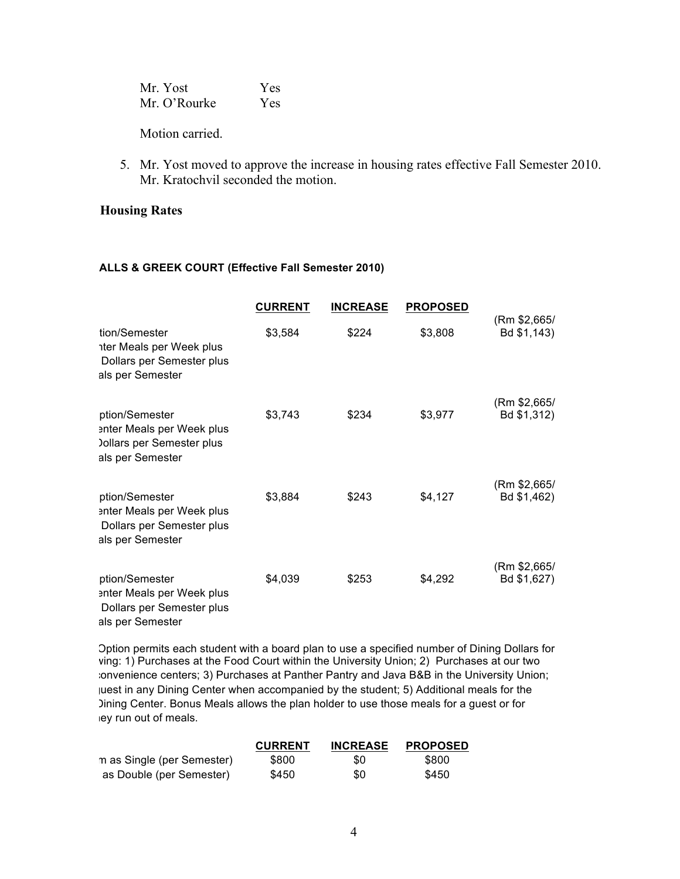Mr. Yost Yes Mr. O'Rourke Yes

Motion carried.

5. Mr. Yost moved to approve the increase in housing rates effective Fall Semester 2010. Mr. Kratochvil seconded the motion.

#### **Housing Rates**

#### **ALLS & GREEK COURT (Effective Fall Semester 2010)**

|                                                                                                   | <b>CURRENT</b> | <b>INCREASE</b> | <b>PROPOSED</b> |                             |
|---------------------------------------------------------------------------------------------------|----------------|-----------------|-----------------|-----------------------------|
| tion/Semester<br><b>nter Meals per Week plus</b><br>Dollars per Semester plus<br>als per Semester | \$3,584        | \$224           | \$3,808         | (Rm \$2,665/<br>Bd \$1,143) |
| ption/Semester<br>enter Meals per Week plus<br>Jollars per Semester plus<br>als per Semester      | \$3,743        | \$234           | \$3,977         | (Rm \$2,665/<br>Bd \$1,312) |
| ption/Semester<br>enter Meals per Week plus<br>Dollars per Semester plus<br>als per Semester      | \$3,884        | \$243           | \$4,127         | (Rm \$2,665/<br>Bd \$1,462) |
| ption/Semester<br>enter Meals per Week plus<br>Dollars per Semester plus<br>als per Semester      | \$4,039        | \$253           | \$4,292         | (Rm \$2,665/<br>Bd \$1,627) |

Option permits each student with a board plan to use a specified number of Dining Dollars for ving: 1) Purchases at the Food Court within the University Union; 2) Purchases at our two convenience centers; 3) Purchases at Panther Pantry and Java B&B in the University Union; juest in any Dining Center when accompanied by the student; 5) Additional meals for the )ining Center. Bonus Meals allows the plan holder to use those meals for a guest or for ley run out of meals.

|                            | <b>CURRENT</b> | <b>INCREASE</b> | <b>PROPOSED</b> |
|----------------------------|----------------|-----------------|-----------------|
| m as Single (per Semester) | \$800          | \$0             | \$800           |
| as Double (per Semester)   | \$450          | \$0             | \$450           |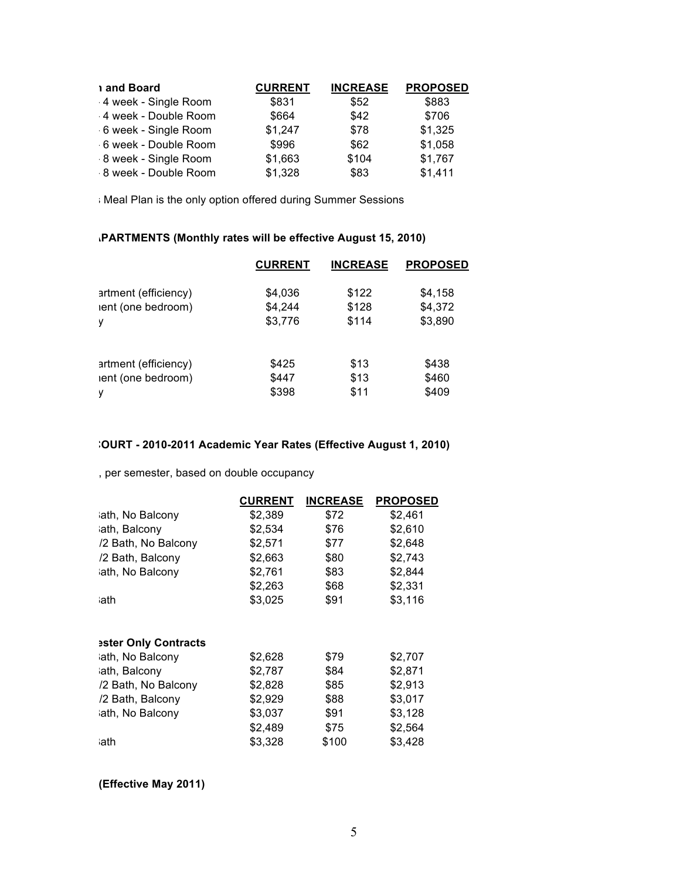| and Board            | <b>CURRENT</b> | <b>INCREASE</b> | <b>PROPOSED</b> |
|----------------------|----------------|-----------------|-----------------|
| 4 week - Single Room | \$831          | \$52            | \$883           |
| 4 week - Double Room | \$664          | \$42            | \$706           |
| 6 week - Single Room | \$1,247        | \$78            | \$1,325         |
| 6 week - Double Room | \$996          | \$62            | \$1,058         |
| 8 week - Single Room | \$1,663        | \$104           | \$1,767         |
| 8 week - Double Room | \$1,328        | \$83            | \$1,411         |

Real Plan is the only option offered during Summer Sessions

### **IPARTMENTS (Monthly rates will be effective August 15, 2010)**

|                      | <b>CURRENT</b> | <b>INCREASE</b> | <b>PROPOSED</b> |
|----------------------|----------------|-----------------|-----------------|
| artment (efficiency) | \$4,036        | \$122           | \$4,158         |
| ient (one bedroom)   | \$4,244        | \$128           | \$4,372         |
| у                    | \$3,776        | \$114           | \$3,890         |
| artment (efficiency) | \$425          | \$13            | \$438           |
| ient (one bedroom)   | \$447          | \$13            | \$460           |
| v                    | \$398          | \$11            | \$409           |

## **:OURT - 2010-2011 Academic Year Rates (Effective August 1, 2010)**

, per semester, based on double occupancy

|      |                             | <b>CURRENT</b> | <b>INCREASE</b> | <b>PROPOSED</b> |
|------|-----------------------------|----------------|-----------------|-----------------|
|      | lath, No Balcony            | \$2,389        | \$72            | \$2,461         |
|      | ath, Balcony                | \$2,534        | \$76            | \$2,610         |
|      | /2 Bath, No Balcony         | \$2,571        | \$77            | \$2,648         |
|      | /2 Bath, Balcony            | \$2,663        | \$80            | \$2,743         |
|      | lath, No Balcony            | \$2,761        | \$83            | \$2,844         |
|      |                             | \$2,263        | \$68            | \$2,331         |
| ⊧ath |                             | \$3,025        | \$91            | \$3,116         |
|      |                             |                |                 |                 |
|      | <b>ester Only Contracts</b> |                |                 |                 |
|      | lath, No Balcony            | \$2,628        | \$79            | \$2,707         |
|      | ath, Balcony                | \$2,787        | \$84            | \$2,871         |
|      | /2 Bath, No Balcony         | \$2,828        | \$85            | \$2,913         |
|      | /2 Bath, Balcony            | \$2,929        | \$88            | \$3,017         |
|      | ath, No Balcony             | \$3,037        | \$91            | \$3,128         |
|      |                             | \$2,489        | \$75            | \$2,564         |
| ath  |                             | \$3,328        | \$100           | \$3,428         |
|      |                             |                |                 |                 |

# **(Effective May 2011)**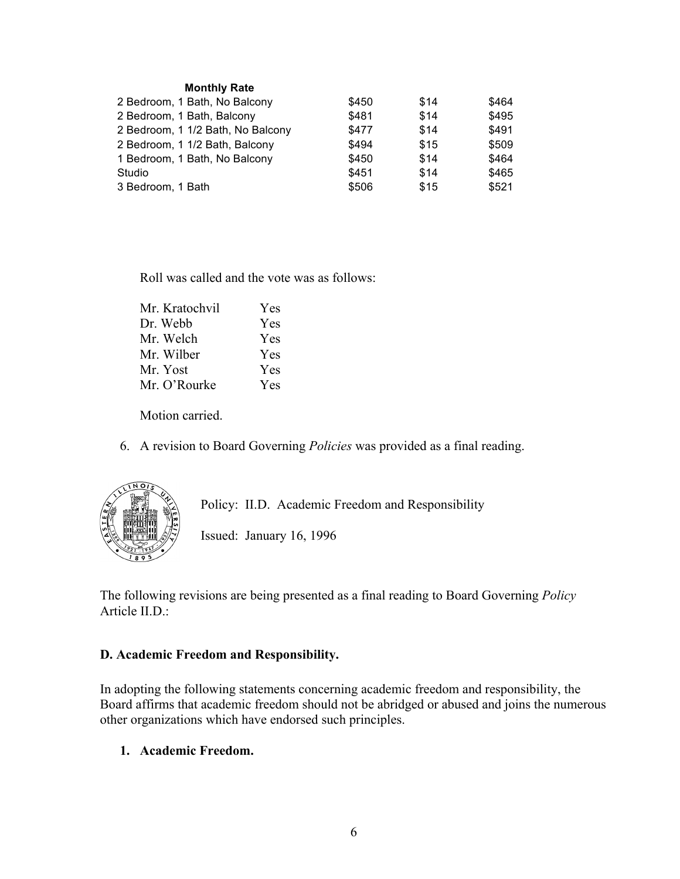#### **Monthly Rate**

| 2 Bedroom, 1 Bath, No Balcony     | \$450 | \$14 | \$464 |
|-----------------------------------|-------|------|-------|
| 2 Bedroom, 1 Bath, Balcony        | \$481 | \$14 | \$495 |
| 2 Bedroom, 1 1/2 Bath, No Balcony | \$477 | \$14 | \$491 |
| 2 Bedroom, 1 1/2 Bath, Balcony    | \$494 | \$15 | \$509 |
| 1 Bedroom, 1 Bath, No Balcony     | \$450 | \$14 | \$464 |
| Studio                            | \$451 | \$14 | \$465 |
| 3 Bedroom, 1 Bath                 | \$506 | \$15 | \$521 |
|                                   |       |      |       |

Roll was called and the vote was as follows:

| Mr. Kratochvil | Yes        |
|----------------|------------|
| Dr. Webb       | Yes        |
| Mr. Welch      | Yes        |
| Mr. Wilber     | <b>Yes</b> |
| Mr. Yost       | Yes        |
| Mr. O'Rourke   | <b>Yes</b> |

Motion carried.

6. A revision to Board Governing *Policies* was provided as a final reading.



Policy: II.D. Academic Freedom and Responsibility

Issued: January 16, 1996

The following revisions are being presented as a final reading to Board Governing *Policy*  Article II.D.:

#### **D. Academic Freedom and Responsibility.**

In adopting the following statements concerning academic freedom and responsibility, the Board affirms that academic freedom should not be abridged or abused and joins the numerous other organizations which have endorsed such principles.

## **1. Academic Freedom.**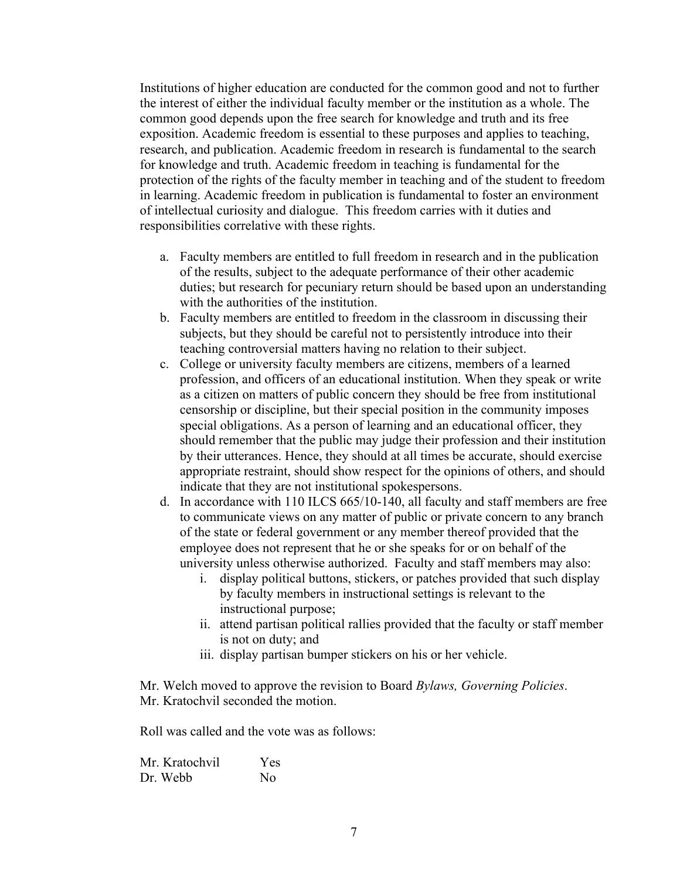Institutions of higher education are conducted for the common good and not to further the interest of either the individual faculty member or the institution as a whole. The common good depends upon the free search for knowledge and truth and its free exposition. Academic freedom is essential to these purposes and applies to teaching, research, and publication. Academic freedom in research is fundamental to the search for knowledge and truth. Academic freedom in teaching is fundamental for the protection of the rights of the faculty member in teaching and of the student to freedom in learning. Academic freedom in publication is fundamental to foster an environment of intellectual curiosity and dialogue. This freedom carries with it duties and responsibilities correlative with these rights.

- a. Faculty members are entitled to full freedom in research and in the publication of the results, subject to the adequate performance of their other academic duties; but research for pecuniary return should be based upon an understanding with the authorities of the institution.
- b. Faculty members are entitled to freedom in the classroom in discussing their subjects, but they should be careful not to persistently introduce into their teaching controversial matters having no relation to their subject.
- c. College or university faculty members are citizens, members of a learned profession, and officers of an educational institution. When they speak or write as a citizen on matters of public concern they should be free from institutional censorship or discipline, but their special position in the community imposes special obligations. As a person of learning and an educational officer, they should remember that the public may judge their profession and their institution by their utterances. Hence, they should at all times be accurate, should exercise appropriate restraint, should show respect for the opinions of others, and should indicate that they are not institutional spokespersons.
- d. In accordance with 110 ILCS 665/10-140, all faculty and staff members are free to communicate views on any matter of public or private concern to any branch of the state or federal government or any member thereof provided that the employee does not represent that he or she speaks for or on behalf of the university unless otherwise authorized. Faculty and staff members may also:
	- i. display political buttons, stickers, or patches provided that such display by faculty members in instructional settings is relevant to the instructional purpose;
	- ii. attend partisan political rallies provided that the faculty or staff member is not on duty; and
	- iii. display partisan bumper stickers on his or her vehicle.

Mr. Welch moved to approve the revision to Board *Bylaws, Governing Policies*. Mr. Kratochvil seconded the motion.

Roll was called and the vote was as follows:

Mr. Kratochvil Yes Dr. Webb No.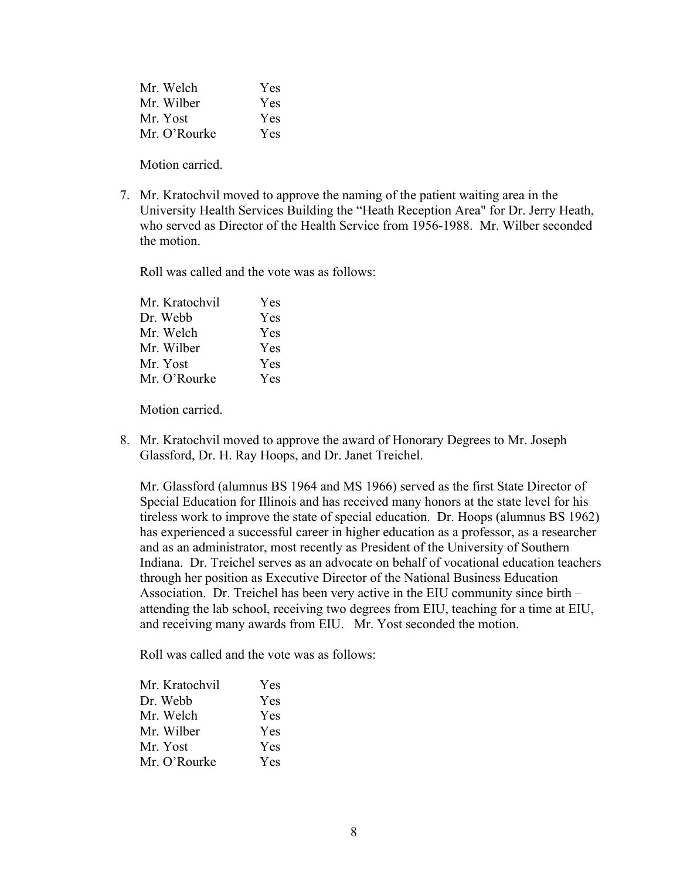| <b>Yes</b> |
|------------|
| <b>Yes</b> |
| Yes.       |
| Yes.       |
|            |

7. Mr. Kratochvil moved to approve the naming of the patient waiting area in the University Health Services Building the "Heath Reception Area" for Dr. Jerry Heath, who served as Director of the Health Service from 1956-1988. Mr. Wilber seconded the motion.

Roll was called and the vote was as follows:

| Mr. Kratochvil | Yes |
|----------------|-----|
| Dr. Webb       | Yes |
| Mr. Welch      | Yes |
| Mr. Wilber     | Yes |
| Mr. Yost       | Yes |
| Mr. O'Rourke   | Yes |

Motion carried.

8. Mr. Kratochvil moved to approve the award of Honorary Degrees to Mr. Joseph Glassford, Dr. H. Ray Hoops, and Dr. Janet Treichel.

Mr. Glassford (alumnus BS 1964 and MS 1966) served as the first State Director of Special Education for Illinois and has received many honors at the state level for his tireless work to improve the state of special education. Dr. Hoops (alumnus BS 1962) has experienced a successful career in higher education as a professor, as a researcher and as an administrator, most recently as President of the University of Southern Indiana. Dr. Treichel serves as an advocate on behalf of vocational education teachers through her position as Executive Director of the National Business Education Association. Dr. Treichel has been very active in the EIU community since birth – attending the lab school, receiving two degrees from EIU, teaching for a time at EIU, and receiving many awards from EIU. Mr. Yost seconded the motion.

| Mr. Kratochvil | Yes        |
|----------------|------------|
| Dr. Webb       | Yes        |
| Mr. Welch      | Yes        |
| Mr. Wilber     | Yes        |
| Mr. Yost       | <b>Yes</b> |
| Mr. O'Rourke   | <b>Yes</b> |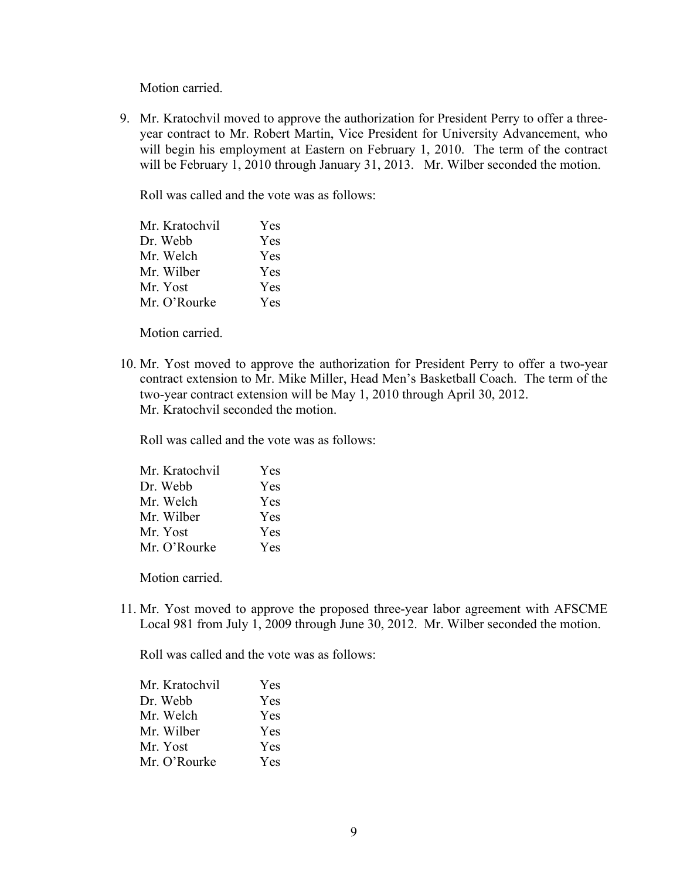9. Mr. Kratochvil moved to approve the authorization for President Perry to offer a threeyear contract to Mr. Robert Martin, Vice President for University Advancement, who will begin his employment at Eastern on February 1, 2010. The term of the contract will be February 1, 2010 through January 31, 2013. Mr. Wilber seconded the motion.

Roll was called and the vote was as follows:

| Mr. Kratochvil | Yes        |
|----------------|------------|
| Dr. Webb       | <b>Yes</b> |
| Mr. Welch      | Yes        |
| Mr. Wilber     | Yes        |
| Mr. Yost       | <b>Yes</b> |
| Mr. O'Rourke   | <b>Yes</b> |

Motion carried.

10. Mr. Yost moved to approve the authorization for President Perry to offer a two-year contract extension to Mr. Mike Miller, Head Men's Basketball Coach. The term of the two-year contract extension will be May 1, 2010 through April 30, 2012. Mr. Kratochvil seconded the motion.

Roll was called and the vote was as follows:

| Mr. Kratochvil | Yes |
|----------------|-----|
| Dr. Webb       | Yes |
| Mr. Welch      | Yes |
| Mr. Wilber     | Yes |
| Mr. Yost       | Yes |
| Mr. O'Rourke   | Yes |

Motion carried.

11. Mr. Yost moved to approve the proposed three-year labor agreement with AFSCME Local 981 from July 1, 2009 through June 30, 2012. Mr. Wilber seconded the motion.

| Mr. Kratochvil | Yes |
|----------------|-----|
| Dr. Webb       | Yes |
| Mr. Welch      | Yes |
| Mr. Wilber     | Yes |
| Mr. Yost       | Yes |
| Mr. O'Rourke   | Yes |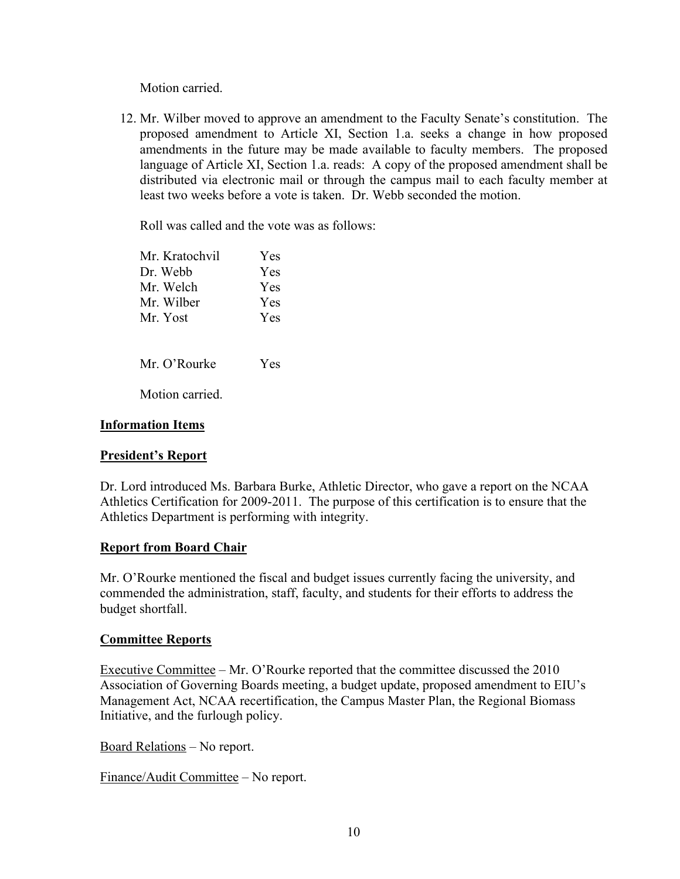12. Mr. Wilber moved to approve an amendment to the Faculty Senate's constitution. The proposed amendment to Article XI, Section 1.a. seeks a change in how proposed amendments in the future may be made available to faculty members. The proposed language of Article XI, Section 1.a. reads: A copy of the proposed amendment shall be distributed via electronic mail or through the campus mail to each faculty member at least two weeks before a vote is taken. Dr. Webb seconded the motion.

Roll was called and the vote was as follows:

| Mr. Kratochvil | Yes        |
|----------------|------------|
| Dr. Webb       | <b>Yes</b> |
| Mr. Welch      | Yes        |
| Mr. Wilber     | Yes        |
| Mr. Yost       | <b>Yes</b> |
|                |            |

Mr. O'Rourke Yes

Motion carried.

# **Information Items**

## **President's Report**

Dr. Lord introduced Ms. Barbara Burke, Athletic Director, who gave a report on the NCAA Athletics Certification for 2009-2011. The purpose of this certification is to ensure that the Athletics Department is performing with integrity.

# **Report from Board Chair**

Mr. O'Rourke mentioned the fiscal and budget issues currently facing the university, and commended the administration, staff, faculty, and students for their efforts to address the budget shortfall.

# **Committee Reports**

Executive Committee – Mr. O'Rourke reported that the committee discussed the 2010 Association of Governing Boards meeting, a budget update, proposed amendment to EIU's Management Act, NCAA recertification, the Campus Master Plan, the Regional Biomass Initiative, and the furlough policy.

Board Relations – No report.

Finance/Audit Committee – No report.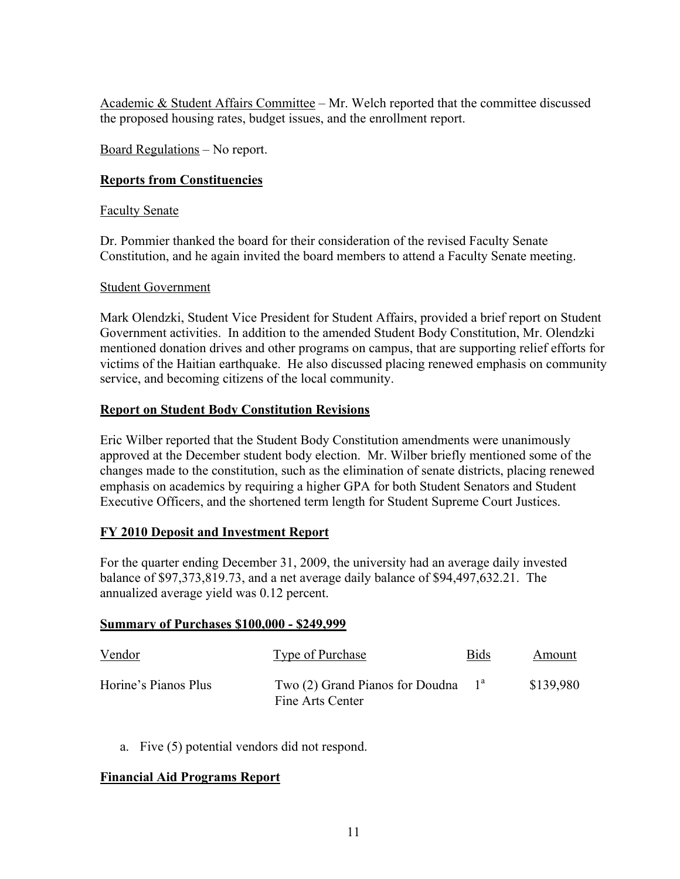Academic & Student Affairs Committee – Mr. Welch reported that the committee discussed the proposed housing rates, budget issues, and the enrollment report.

## Board Regulations – No report.

# **Reports from Constituencies**

### Faculty Senate

Dr. Pommier thanked the board for their consideration of the revised Faculty Senate Constitution, and he again invited the board members to attend a Faculty Senate meeting.

#### Student Government

Mark Olendzki, Student Vice President for Student Affairs, provided a brief report on Student Government activities. In addition to the amended Student Body Constitution, Mr. Olendzki mentioned donation drives and other programs on campus, that are supporting relief efforts for victims of the Haitian earthquake. He also discussed placing renewed emphasis on community service, and becoming citizens of the local community.

## **Report on Student Body Constitution Revisions**

Eric Wilber reported that the Student Body Constitution amendments were unanimously approved at the December student body election. Mr. Wilber briefly mentioned some of the changes made to the constitution, such as the elimination of senate districts, placing renewed emphasis on academics by requiring a higher GPA for both Student Senators and Student Executive Officers, and the shortened term length for Student Supreme Court Justices.

## **FY 2010 Deposit and Investment Report**

For the quarter ending December 31, 2009, the university had an average daily invested balance of \$97,373,819.73, and a net average daily balance of \$94,497,632.21. The annualized average yield was 0.12 percent.

#### **Summary of Purchases \$100,000 - \$249,999**

| Vendor               | Type of Purchase                                           | <b>Bids</b> | Amount    |
|----------------------|------------------------------------------------------------|-------------|-----------|
| Horine's Pianos Plus | Two $(2)$ Grand Pianos for Doudna $1a$<br>Fine Arts Center |             | \$139,980 |

a. Five (5) potential vendors did not respond.

## **Financial Aid Programs Report**